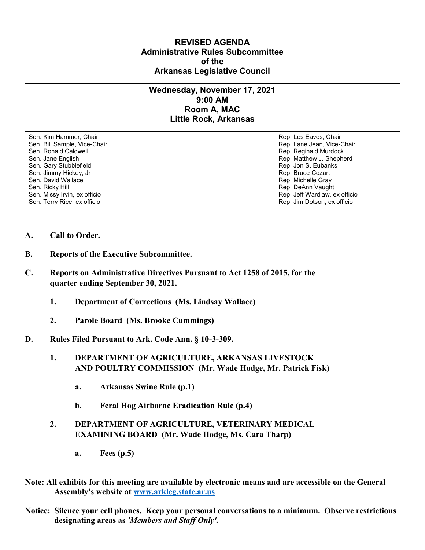## **REVISED AGENDA Administrative Rules Subcommittee of the Arkansas Legislative Council**

## **Wednesday, November 17, 2021 9:00 AM Room A, MAC Little Rock, Arkansas**

Sen. Kim Hammer, Chair Rep. Les Eaves, Chair Rep. Les Eaves, Chair Rep. Les Eaves, Chair Sen. Bill Sample, Vice-Chair November 1999, New York 1999, New York 1999, New York 1999, New York 1999, New York 1999 Sen. Ronald Caldwell **Rep. Rep. Reginald Murdock** Rep. Reginald Murdock Sen. Jane English Rep. Matthew J. Shepherd Sen. Gary Stubblefield **Rep. 3. Eubanks** Sen. Gary Stubblefield Sen. Jimmy Hickey, Jr Sen. Jimmy Hickey, Jr Rep. Bruce Cozart<br>Sen. David Wallace Sen. Bruce Cozart Sen. David Wallace Sen. Missy Irvin, ex officio Sen. Terry Rice, ex officio Rep. Jim Dotson, ex officio

Rep. Michelle Gray Sen. Ricky Hill Rep. DeAnn Vaught<br>Sen. Missy Irvin, ex officio November 2008, November 2009, New York Rep. Jeff Wardlaw, ex officio

- **A. Call to Order.**
- **B. Reports of the Executive Subcommittee.**
- **C. Reports on Administrative Directives Pursuant to Act 1258 of 2015, for the quarter ending September 30, 2021.**
	- **1. Department of Corrections (Ms. Lindsay Wallace)**
	- **2. Parole Board (Ms. Brooke Cummings)**
- **D. Rules Filed Pursuant to Ark. Code Ann. § 10-3-309.**
	- **1. DEPARTMENT OF AGRICULTURE, ARKANSAS LIVESTOCK AND POULTRY COMMISSION (Mr. Wade Hodge, Mr. Patrick Fisk)**
		- **a. Arkansas Swine Rule (p.1)**
		- **b. Feral Hog Airborne Eradication Rule (p.4)**

## **2. DEPARTMENT OF AGRICULTURE, VETERINARY MEDICAL EXAMINING BOARD (Mr. Wade Hodge, Ms. Cara Tharp)**

- **a. Fees (p.5)**
- **Note: All exhibits for this meeting are available by electronic means and are accessible on the General Assembly's website at [www.arkleg.state.ar.us](http://www.arkleg.state.ar.us)**
- **Notice: Silence your cell phones. Keep your personal conversations to a minimum. Observe restrictions designating areas as** *'Members and Staff Only'.*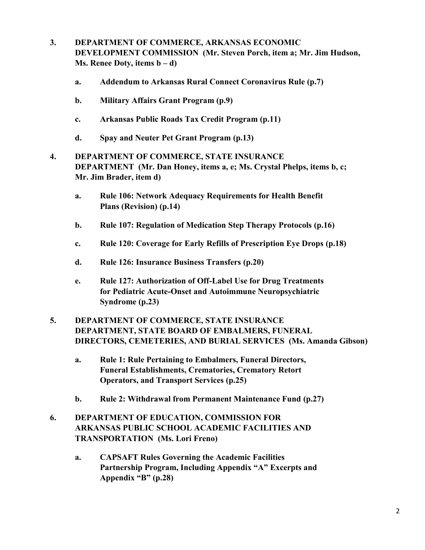- **3. DEPARTMENT OF COMMERCE, ARKANSAS ECONOMIC DEVELOPMENT COMMISSION (Mr. Steven Porch, item a; Mr. Jim Hudson, Ms. Renee Doty, items b – d)**
	- **a. Addendum to Arkansas Rural Connect Coronavirus Rule (p.7)**
	- **b. Military Affairs Grant Program (p.9)**
	- **c. Arkansas Public Roads Tax Credit Program (p.11)**
	- **d. Spay and Neuter Pet Grant Program (p.13)**
- **4. DEPARTMENT OF COMMERCE, STATE INSURANCE DEPARTMENT (Mr. Dan Honey, items a, e; Ms. Crystal Phelps, items b, c; Mr. Jim Brader, item d)**
	- **a. Rule 106: Network Adequacy Requirements for Health Benefit Plans (Revision) (p.14)**
	- **b. Rule 107: Regulation of Medication Step Therapy Protocols (p.16)**
	- **c. Rule 120: Coverage for Early Refills of Prescription Eye Drops (p.18)**
	- **d. Rule 126: Insurance Business Transfers (p.20)**
	- **e. Rule 127: Authorization of Off-Label Use for Drug Treatments for Pediatric Acute-Onset and Autoimmune Neuropsychiatric Syndrome (p.23)**
- **5. DEPARTMENT OF COMMERCE, STATE INSURANCE DEPARTMENT, STATE BOARD OF EMBALMERS, FUNERAL DIRECTORS, CEMETERIES, AND BURIAL SERVICES (Ms. Amanda Gibson)**
	- **a. Rule 1: Rule Pertaining to Embalmers, Funeral Directors, Funeral Establishments, Crematories, Crematory Retort Operators, and Transport Services (p.25)**
	- **b. Rule 2: Withdrawal from Permanent Maintenance Fund (p.27)**
- **6. DEPARTMENT OF EDUCATION, COMMISSION FOR ARKANSAS PUBLIC SCHOOL ACADEMIC FACILITIES AND TRANSPORTATION (Ms. Lori Freno)**
	- **a. CAPSAFT Rules Governing the Academic Facilities Partnership Program, Including Appendix "A" Excerpts and Appendix "B" (p.28)**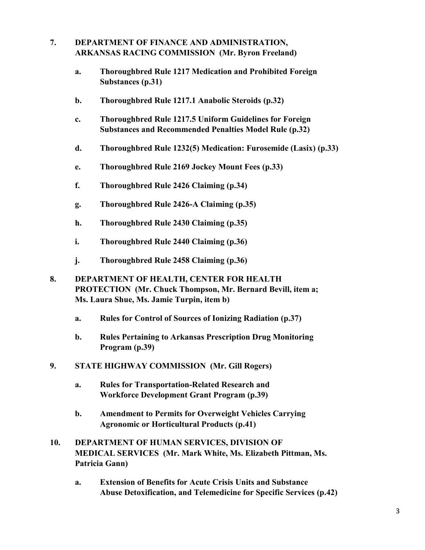## **7. DEPARTMENT OF FINANCE AND ADMINISTRATION, ARKANSAS RACING COMMISSION (Mr. Byron Freeland)**

- **a. Thoroughbred Rule 1217 Medication and Prohibited Foreign Substances (p.31)**
- **b. Thoroughbred Rule 1217.1 Anabolic Steroids (p.32)**
- **c. Thoroughbred Rule 1217.5 Uniform Guidelines for Foreign Substances and Recommended Penalties Model Rule (p.32)**
- **d. Thoroughbred Rule 1232(5) Medication: Furosemide (Lasix) (p.33)**
- **e. Thoroughbred Rule 2169 Jockey Mount Fees (p.33)**
- **f. Thoroughbred Rule 2426 Claiming (p.34)**
- **g. Thoroughbred Rule 2426-A Claiming (p.35)**
- **h. Thoroughbred Rule 2430 Claiming (p.35)**
- **i. Thoroughbred Rule 2440 Claiming (p.36)**
- **j. Thoroughbred Rule 2458 Claiming (p.36)**
- **8. DEPARTMENT OF HEALTH, CENTER FOR HEALTH PROTECTION (Mr. Chuck Thompson, Mr. Bernard Bevill, item a; Ms. Laura Shue, Ms. Jamie Turpin, item b)**
	- **a. Rules for Control of Sources of Ionizing Radiation (p.37)**
	- **b. Rules Pertaining to Arkansas Prescription Drug Monitoring Program (p.39)**
- **9. STATE HIGHWAY COMMISSION (Mr. Gill Rogers)**
	- **a. Rules for Transportation-Related Research and Workforce Development Grant Program (p.39)**
	- **b. Amendment to Permits for Overweight Vehicles Carrying Agronomic or Horticultural Products (p.41)**
- **10. DEPARTMENT OF HUMAN SERVICES, DIVISION OF MEDICAL SERVICES (Mr. Mark White, Ms. Elizabeth Pittman, Ms. Patricia Gann)**
	- **a. Extension of Benefits for Acute Crisis Units and Substance Abuse Detoxification, and Telemedicine for Specific Services (p.42)**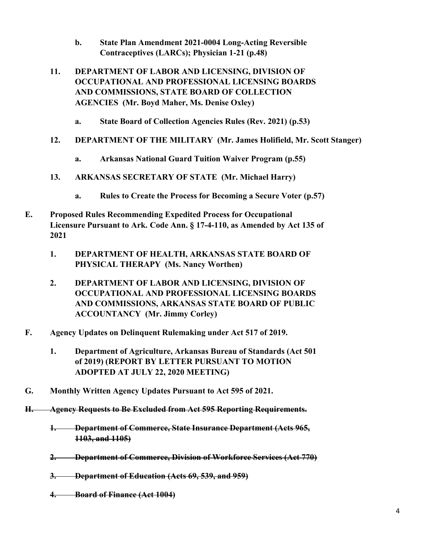- **b. State Plan Amendment 2021-0004 Long-Acting Reversible Contraceptives (LARCs); Physician 1-21 (p.48)**
- **11. DEPARTMENT OF LABOR AND LICENSING, DIVISION OF OCCUPATIONAL AND PROFESSIONAL LICENSING BOARDS AND COMMISSIONS, STATE BOARD OF COLLECTION AGENCIES (Mr. Boyd Maher, Ms. Denise Oxley)**
	- **a. State Board of Collection Agencies Rules (Rev. 2021) (p.53)**
- **12. DEPARTMENT OF THE MILITARY (Mr. James Holifield, Mr. Scott Stanger)**
	- **a. Arkansas National Guard Tuition Waiver Program (p.55)**
- **13. ARKANSAS SECRETARY OF STATE (Mr. Michael Harry)**
	- **a. Rules to Create the Process for Becoming a Secure Voter (p.57)**
- **E. Proposed Rules Recommending Expedited Process for Occupational Licensure Pursuant to Ark. Code Ann. § 17-4-110, as Amended by Act 135 of 2021**
	- **1. DEPARTMENT OF HEALTH, ARKANSAS STATE BOARD OF PHYSICAL THERAPY (Ms. Nancy Worthen)**
	- **2. DEPARTMENT OF LABOR AND LICENSING, DIVISION OF OCCUPATIONAL AND PROFESSIONAL LICENSING BOARDS AND COMMISSIONS, ARKANSAS STATE BOARD OF PUBLIC ACCOUNTANCY (Mr. Jimmy Corley)**
- **F. Agency Updates on Delinquent Rulemaking under Act 517 of 2019.**
	- **1. Department of Agriculture, Arkansas Bureau of Standards (Act 501 of 2019) (REPORT BY LETTER PURSUANT TO MOTION ADOPTED AT JULY 22, 2020 MEETING)**
- **G. Monthly Written Agency Updates Pursuant to Act 595 of 2021.**
- **H. Agency Requests to Be Excluded from Act 595 Reporting Requirements.**
	- **1. Department of Commerce, State Insurance Department (Acts 965, 1103, and 1105)**
	- **2. Department of Commerce, Division of Workforce Services (Act 770)**
	- **3. Department of Education (Acts 69, 539, and 959)**
	- **4. Board of Finance (Act 1004)**